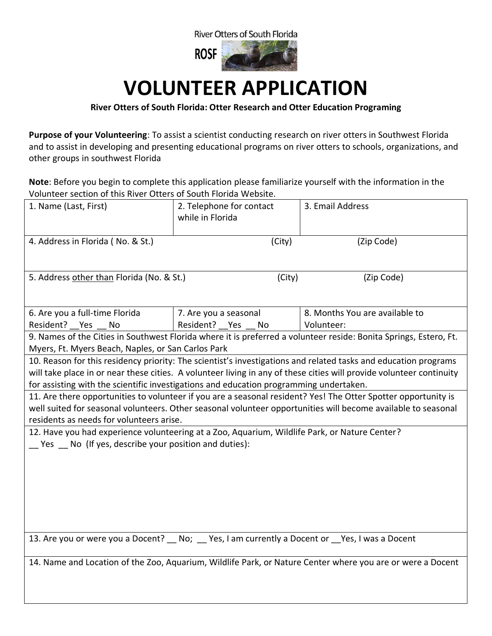

## **VOLUNTEER APPLICATION**

## **River Otters of South Florida: Otter Research and Otter Education Programing**

**Purpose of your Volunteering**: To assist a scientist conducting research on river otters in Southwest Florida and to assist in developing and presenting educational programs on river otters to schools, organizations, and other groups in southwest Florida

**Note**: Before you begin to complete this application please familiarize yourself with the information in the Volunteer section of this River Otters of South Florida Website.

| 1. Name (Last, First)                                                                                                                                                   | 2. Telephone for contact<br>while in Florida | 3. Email Address               |
|-------------------------------------------------------------------------------------------------------------------------------------------------------------------------|----------------------------------------------|--------------------------------|
| 4. Address in Florida (No. & St.)                                                                                                                                       | (City)                                       | (Zip Code)                     |
| 5. Address other than Florida (No. & St.)                                                                                                                               | (City)                                       | (Zip Code)                     |
| 6. Are you a full-time Florida                                                                                                                                          | 7. Are you a seasonal                        | 8. Months You are available to |
| Resident? Yes<br>No                                                                                                                                                     | Resident? Yes<br>No                          | Volunteer:                     |
| 9. Names of the Cities in Southwest Florida where it is preferred a volunteer reside: Bonita Springs, Estero, Ft.<br>Myers, Ft. Myers Beach, Naples, or San Carlos Park |                                              |                                |
| 10. Reason for this residency priority: The scientist's investigations and related tasks and education programs                                                         |                                              |                                |
| will take place in or near these cities. A volunteer living in any of these cities will provide volunteer continuity                                                    |                                              |                                |
| for assisting with the scientific investigations and education programming undertaken.                                                                                  |                                              |                                |
| 11. Are there opportunities to volunteer if you are a seasonal resident? Yes! The Otter Spotter opportunity is                                                          |                                              |                                |
| well suited for seasonal volunteers. Other seasonal volunteer opportunities will become available to seasonal                                                           |                                              |                                |
| residents as needs for volunteers arise.                                                                                                                                |                                              |                                |
| 12. Have you had experience volunteering at a Zoo, Aquarium, Wildlife Park, or Nature Center?<br>$\Gamma$ Yes $\Gamma$ No (If yes, describe your position and duties):  |                                              |                                |
| 13. Are you or were you a Docent? _ No; _ Yes, I am currently a Docent or _Yes, I was a Docent                                                                          |                                              |                                |
| 14. Name and Location of the Zoo, Aquarium, Wildlife Park, or Nature Center where you are or were a Docent                                                              |                                              |                                |